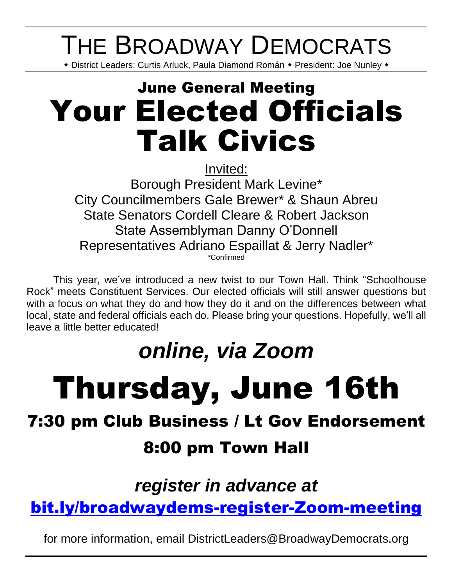# THE BROADWAY DEMOCRATS

\* District Leaders: Curtis Arluck, Paula Diamond Román \* President: Joe Nunley \*

# June General Meeting Your Elected Officials Talk Civics

Invited:

Borough President Mark Levine\* City Councilmembers Gale Brewer\* & Shaun Abreu State Senators Cordell Cleare & Robert Jackson State Assemblyman Danny O'Donnell Representatives Adriano Espaillat & Jerry Nadler\* \*Confirmed

This year, we've introduced a new twist to our Town Hall. Think "Schoolhouse Rock" meets Constituent Services. Our elected officials will still answer questions but with a focus on what they do and how they do it and on the differences between what local, state and federal officials each do. Please bring your questions. Hopefully, we'll all leave a little better educated!

## *online, via Zoom*

# Thursday, June 16th

### 7:30 pm Club Business / Lt Gov Endorsement

### 8:00 pm Town Hall

### *register in advance at*

### [bit.ly/broadwaydems-register-Zoom-meeting](https://us02web.zoom.us/meeting/register/tZAodO-oqjwoE9BKHN6iaylDp2YVdEdu2bER)

for more information, email DistrictLeaders@BroadwayDemocrats.org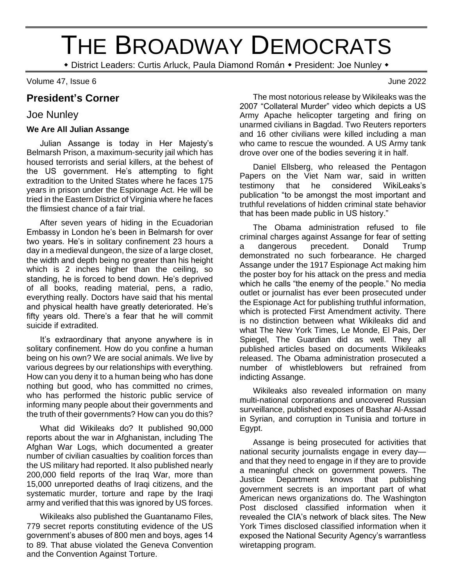# THE BROADWAY DEMOCRATS

\* District Leaders: Curtis Arluck, Paula Diamond Román \* President: Joe Nunley \*

Volume 47, Issue 6 June 2022

#### **President's Corner**

#### Joe Nunley

#### **We Are All Julian Assange**

Julian Assange is today in Her Majesty's Belmarsh Prison, a maximum-security jail which has housed terrorists and serial killers, at the behest of the US government. He's attempting to fight extradition to the United States where he faces 175 years in prison under the Espionage Act. He will be tried in the Eastern District of Virginia where he faces the flimsiest chance of a fair trial.

After seven years of hiding in the Ecuadorian Embassy in London he's been in Belmarsh for over two years. He's in solitary confinement 23 hours a day in a medieval dungeon, the size of a large closet, the width and depth being no greater than his height which is 2 inches higher than the ceiling, so standing, he is forced to bend down. He's deprived of all books, reading material, pens, a radio, everything really. Doctors have said that his mental and physical health have greatly deteriorated. He's fifty years old. There's a fear that he will commit suicide if extradited.

It's extraordinary that anyone anywhere is in solitary confinement. How do you confine a human being on his own? We are social animals. We live by various degrees by our relationships with everything. How can you deny it to a human being who has done nothing but good, who has committed no crimes, who has performed the historic public service of informing many people about their governments and the truth of their governments? How can you do this?

What did Wikileaks do? It published 90,000 reports about the war in Afghanistan, including The Afghan War Logs, which documented a greater number of civilian casualties by coalition forces than the US military had reported. It also published nearly 200,000 field reports of the Iraq War, more than 15,000 unreported deaths of Iraqi citizens, and the systematic murder, torture and rape by the Iraqi army and verified that this was ignored by US forces.

Wikileaks also published the Guantanamo Files, 779 secret reports constituting evidence of the US government's abuses of 800 men and boys, ages 14 to 89. That abuse violated the Geneva Convention and the Convention Against Torture.

The most notorious release by Wikileaks was the 2007 "Collateral Murder" video which depicts a US Army Apache helicopter targeting and firing on unarmed civilians in Bagdad. Two Reuters reporters and 16 other civilians were killed including a man who came to rescue the wounded. A US Army tank drove over one of the bodies severing it in half.

Daniel Ellsberg, who released the Pentagon Papers on the Viet Nam war, said in written testimony that he considered WikiLeaks's publication "to be amongst the most important and truthful revelations of hidden criminal state behavior that has been made public in US history."

The Obama administration refused to file criminal charges against Assange for fear of setting a dangerous precedent. Donald Trump demonstrated no such forbearance. He charged Assange under the 1917 Espionage Act making him the poster boy for his attack on the press and media which he calls "the enemy of the people." No media outlet or journalist has ever been prosecuted under the Espionage Act for publishing truthful information, which is protected First Amendment activity. There is no distinction between what Wikileaks did and what The New York Times, Le Monde, El Pais, Der Spiegel, The Guardian did as well. They all published articles based on documents Wikileaks released. The Obama administration prosecuted a number of whistleblowers but refrained from indicting Assange.

Wikileaks also revealed information on many multi-national corporations and uncovered Russian surveillance, published exposes of Bashar Al-Assad in Syrian, and corruption in Tunisia and torture in Egypt.

Assange is being prosecuted for activities that national security journalists engage in every day and that they need to engage in if they are to provide a meaningful check on government powers. The Justice Department knows that publishing government secrets is an important part of what American news organizations do. The Washington Post disclosed classified information when it revealed the CIA's network of black sites. The New York Times disclosed classified information when it exposed the National Security Agency's warrantless wiretapping program.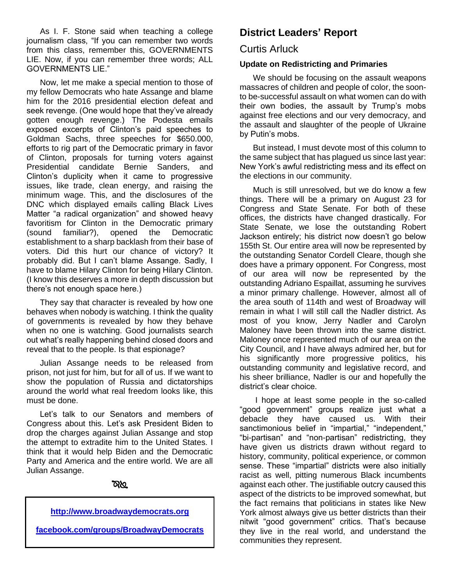As I. F. Stone said when teaching a college journalism class, "If you can remember two words from this class, remember this, GOVERNMENTS LIE. Now, if you can remember three words; ALL GOVERNMENTS LIE."

Now, let me make a special mention to those of my fellow Democrats who hate Assange and blame him for the 2016 presidential election defeat and seek revenge. (One would hope that they've already gotten enough revenge.) The Podesta emails exposed excerpts of Clinton's paid speeches to Goldman Sachs, three speeches for \$650.000, efforts to rig part of the Democratic primary in favor of Clinton, proposals for turning voters against Presidential candidate Bernie Sanders, and Clinton's duplicity when it came to progressive issues, like trade, clean energy, and raising the minimum wage. This, and the disclosures of the DNC which displayed emails calling Black Lives Matter "a radical organization" and showed heavy favoritism for Clinton in the Democratic primary (sound familiar?), opened the Democratic establishment to a sharp backlash from their base of voters. Did this hurt our chance of victory? It probably did. But I can't blame Assange. Sadly, I have to blame Hilary Clinton for being Hilary Clinton. (I know this deserves a more in depth discussion but there's not enough space here.)

They say that character is revealed by how one behaves when nobody is watching. I think the quality of governments is revealed by how they behave when no one is watching. Good journalists search out what's really happening behind closed doors and reveal that to the people. Is that espionage?

Julian Assange needs to be released from prison, not just for him, but for all of us. If we want to show the population of Russia and dictatorships around the world what real freedom looks like, this must be done.

Let's talk to our Senators and members of Congress about this. Let's ask President Biden to drop the charges against Julian Assange and stop the attempt to extradite him to the United States. I think that it would help Biden and the Democratic Party and America and the entire world. We are all Julian Assange.

#### 

#### **[http://www.broadwaydemocrats.org](http://www.broadwaydemocrats.org/)**

**<facebook.com/groups/BroadwayDemocrats>**

#### **District Leaders' Report**

#### Curtis Arluck

#### **Update on Redistricting and Primaries**

We should be focusing on the assault weapons massacres of children and people of color, the soonto be-successful assault on what women can do with their own bodies, the assault by Trump's mobs against free elections and our very democracy, and the assault and slaughter of the people of Ukraine by Putin's mobs.

But instead, I must devote most of this column to the same subject that has plagued us since last year: New York's awful redistricting mess and its effect on the elections in our community.

Much is still unresolved, but we do know a few things. There will be a primary on August 23 for Congress and State Senate. For both of these offices, the districts have changed drastically. For State Senate, we lose the outstanding Robert Jackson entirely; his district now doesn't go below 155th St. Our entire area will now be represented by the outstanding Senator Cordell Cleare, though she does have a primary opponent. For Congress, most of our area will now be represented by the outstanding Adriano Espaillat, assuming he survives a minor primary challenge. However, almost all of the area south of 114th and west of Broadway will remain in what I will still call the Nadler district. As most of you know, Jerry Nadler and Carolyn Maloney have been thrown into the same district. Maloney once represented much of our area on the City Council, and I have always admired her, but for his significantly more progressive politics, his outstanding community and legislative record, and his sheer brilliance, Nadler is our and hopefully the district's clear choice.

I hope at least some people in the so-called "good government" groups realize just what a debacle they have caused us. With their sanctimonious belief in "impartial," "independent," "bi-partisan" and "non-partisan" redistricting, they have given us districts drawn without regard to history, community, political experience, or common sense. These "impartial" districts were also initially racist as well, pitting numerous Black incumbents against each other. The justifiable outcry caused this aspect of the districts to be improved somewhat, but the fact remains that politicians in states like New York almost always give us better districts than their nitwit "good government" critics. That's because they live in the real world, and understand the communities they represent.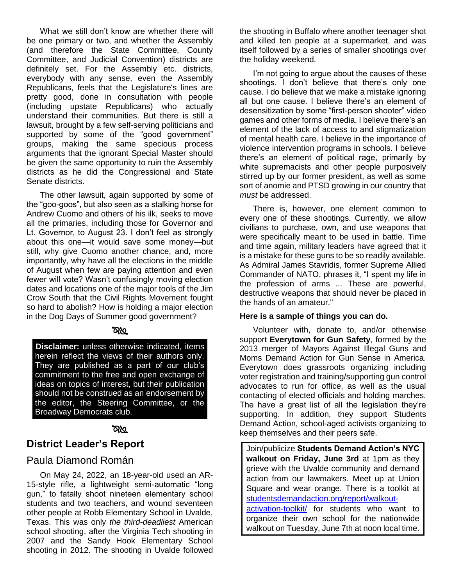What we still don't know are whether there will be one primary or two, and whether the Assembly (and therefore the State Committee, County Committee, and Judicial Convention) districts are definitely set. For the Assembly etc. districts, everybody with any sense, even the Assembly Republicans, feels that the Legislature's lines are pretty good, done in consultation with people (including upstate Republicans) who actually understand their communities. But there is still a lawsuit, brought by a few self-serving politicians and supported by some of the "good government" groups, making the same specious process arguments that the ignorant Special Master should be given the same opportunity to ruin the Assembly districts as he did the Congressional and State Senate districts.

The other lawsuit, again supported by some of the "goo-goos", but also seen as a stalking horse for Andrew Cuomo and others of his ilk, seeks to move all the primaries, including those for Governor and Lt. Governor, to August 23. I don't feel as strongly about this one—it would save some money—but still, why give Cuomo another chance, and, more importantly, why have all the elections in the middle of August when few are paying attention and even fewer will vote? Wasn't confusingly moving election dates and locations one of the major tools of the Jim Crow South that the Civil Rights Movement fought so hard to abolish? How is holding a major election in the Dog Days of Summer good government?

#### ర్వా

**Disclaimer:** unless otherwise indicated, items herein reflect the views of their authors only. They are published as a part of our club's commitment to the free and open exchange of ideas on topics of interest, but their publication should not be construed as an endorsement by the editor, the Steering Committee, or the Broadway Democrats club.

#### **RAD**

#### **District Leader's Report**

#### Paula Diamond Román

On May 24, 2022, an 18-year-old used an AR-15-style rifle, a lightweight semi-automatic "long gun," to fatally shoot nineteen elementary school students and two teachers, and wound seventeen other people at Robb Elementary School in Uvalde, Texas. This was only *the third-deadliest* American school shooting, after the Virginia Tech shooting in 2007 and the Sandy Hook Elementary School shooting in 2012. The shooting in Uvalde followed

the shooting in Buffalo where another teenager shot and killed ten people at a supermarket, and was itself followed by a series of smaller shootings over the holiday weekend.

I'm not going to argue about the causes of these shootings. I don't believe that there's only one cause. I do believe that we make a mistake ignoring all but one cause. I believe there's an element of desensitization by some "first-person shooter" video games and other forms of media. I believe there's an element of the lack of access to and stigmatization of mental health care. I believe in the importance of violence intervention programs in schools. I believe there's an element of political rage, primarily by white supremacists and other people purposively stirred up by our former president, as well as some sort of anomie and PTSD growing in our country that *must* be addressed.

There is, however, one element common to every one of these shootings. Currently, we allow civilians to purchase, own, and use weapons that were specifically meant to be used in battle. Time and time again, military leaders have agreed that it is a mistake for these guns to be so readily available. As Admiral James Stavridis, former Supreme Allied Commander of NATO, phrases it, "I spent my life in the profession of arms ... These are powerful, destructive weapons that should never be placed in the hands of an amateur."

#### **Here is a sample of things you can do.**

Volunteer with, donate to, and/or otherwise support **Everytown for Gun Safety**, formed by the 2013 merger of Mayors Against Illegal Guns and Moms Demand Action for Gun Sense in America. Everytown does grassroots organizing including voter registration and training/supporting gun control advocates to run for office, as well as the usual contacting of elected officials and holding marches. The have a great list of all the legislation they're supporting. In addition, they support Students Demand Action, school-aged activists organizing to keep themselves and their peers safe.

Join/publicize **Students Demand Action's NYC walkout on Friday, June 3rd** at 1pm as they grieve with the Uvalde community and demand action from our lawmakers. Meet up at Union Square and wear orange. There is a toolkit at [studentsdemandaction.org/report/walkout](https://studentsdemandaction.org/report/walkout-activation-toolkit/)[activation-toolkit/](https://studentsdemandaction.org/report/walkout-activation-toolkit/) for students who want to organize their own school for the nationwide walkout on Tuesday, June 7th at noon local time.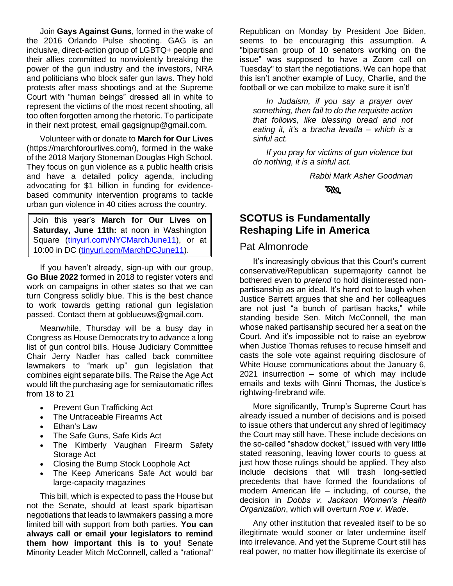Join **Gays Against Guns**, formed in the wake of the 2016 Orlando Pulse shooting. GAG is an inclusive, direct-action group of LGBTQ+ people and their allies committed to nonviolently breaking the power of the gun industry and the investors, NRA and politicians who block safer gun laws. They hold protests after mass shootings and at the Supreme Court with "human beings" dressed all in white to represent the victims of the most recent shooting, all too often forgotten among the rhetoric. To participate in their next protest, email gagsignup@gmail.com.

Volunteer with or donate to **March for Our Lives** (https://marchforourlives.com/), formed in the wake of the 2018 Marjory Stoneman Douglas High School. They focus on gun violence as a public health crisis and have a detailed policy agenda, including advocating for \$1 billion in funding for evidencebased community intervention programs to tackle urban gun violence in 40 cities across the country.

Join this year's **March for Our Lives on Saturday, June 11th:** at noon in Washington Square [\(tinyurl.com/NYCMarchJune11\)](https://secure.everyaction.com/T2rKdr3Ri0St_n2SzdWxmQ2), or at 10:00 in DC [\(tinyurl.com/MarchDCJune11\)](https://secure.everyaction.com/-zpZ45w3Ekyv-yL0Q9cIpQ2?ms=website).

If you haven't already, sign-up with our group, **Go Blue 2022** formed in 2018 to register voters and work on campaigns in other states so that we can turn Congress solidly blue. This is the best chance to work towards getting rational gun legislation passed. Contact them at goblueuws@gmail.com.

Meanwhile, Thursday will be a busy day in Congress as House Democrats try to advance a long list of gun control bills. House Judiciary Committee Chair Jerry Nadler has called back committee lawmakers to "mark up" gun legislation that combines eight separate bills. The Raise the Age Act would lift the purchasing age for semiautomatic rifles from 18 to 21

- Prevent Gun Trafficking Act
- The Untraceable Firearms Act
- Ethan's Law
- The Safe Guns, Safe Kids Act
- The Kimberly Vaughan Firearm Safety Storage Act
- Closing the Bump Stock Loophole Act
- The Keep Americans Safe Act would bar large-capacity magazines

This bill, which is expected to pass the House but not the Senate, should at least spark bipartisan negotiations that leads to lawmakers passing a more limited bill with support from both parties. **You can always call or email your legislators to remind them how important this is to you!** Senate Minority Leader Mitch McConnell, called a "rational"

Republican on Monday by President Joe Biden, seems to be encouraging this assumption. A "bipartisan group of 10 senators working on the issue" was supposed to have a Zoom call on Tuesday" to start the negotiations. We can hope that this isn't another example of Lucy, Charlie, and the football or we can mobilize to make sure it isn't!

*In Judaism, if you say a prayer over something, then fail to do the requisite action that follows, like blessing bread and not eating it, it's a bracha levatla – which is a sinful act.*

*If you pray for victims of gun violence but do nothing, it is a sinful act.*

*Rabbi Mark Asher Goodman*

তাপ্ৰ

#### **SCOTUS is Fundamentally Reshaping Life in America**

#### Pat Almonrode

It's increasingly obvious that this Court's current conservative/Republican supermajority cannot be bothered even to *pretend* to hold disinterested nonpartisanship as an ideal. It's hard not to laugh when Justice Barrett argues that she and her colleagues are not just "a bunch of partisan hacks," while standing beside Sen. Mitch McConnell, the man whose naked partisanship secured her a seat on the Court. And it's impossible not to raise an eyebrow when Justice Thomas refuses to recuse himself and casts the sole vote against requiring disclosure of White House communications about the January 6, 2021 insurrection – some of which may include emails and texts with Ginni Thomas, the Justice's rightwing-firebrand wife.

More significantly, Trump's Supreme Court has already issued a number of decisions and is poised to issue others that undercut any shred of legitimacy the Court may still have. These include decisions on the so-called "shadow docket," issued with very little stated reasoning, leaving lower courts to guess at just how those rulings should be applied. They also include decisions that will trash long-settled precedents that have formed the foundations of modern American life – including, of course, the decision in *Dobbs v. Jackson Women's Health Organization*, which will overturn *Roe v. Wade*.

Any other institution that revealed itself to be so illegitimate would sooner or later undermine itself into irrelevance. And yet the Supreme Court still has real power, no matter how illegitimate its exercise of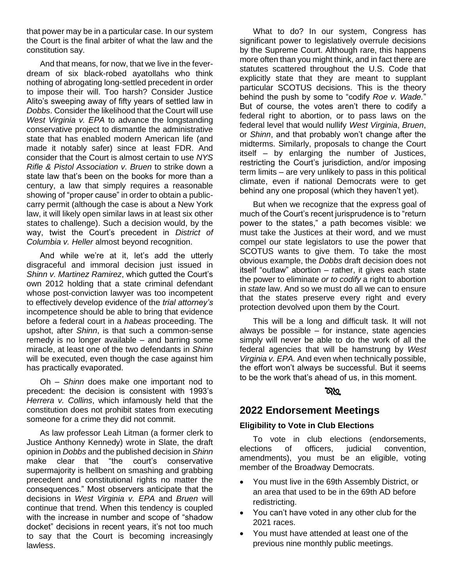that power may be in a particular case. In our system the Court is the final arbiter of what the law and the constitution say.

And that means, for now, that we live in the feverdream of six black-robed ayatollahs who think nothing of abrogating long-settled precedent in order to impose their will. Too harsh? Consider Justice Alito's sweeping away of fifty years of settled law in *Dobbs*. Consider the likelihood that the Court will use *West Virginia v. EPA* to advance the longstanding conservative project to dismantle the administrative state that has enabled modern American life (and made it notably safer) since at least FDR. And consider that the Court is almost certain to use *NYS Rifle & Pistol Association v. Bruen* to strike down a state law that's been on the books for more than a century, a law that simply requires a reasonable showing of "proper cause" in order to obtain a publiccarry permit (although the case is about a New York law, it will likely open similar laws in at least six other states to challenge). Such a decision would, by the way, twist the Court's precedent in *District of Columbia v. Heller* almost beyond recognition.

And while we're at it, let's add the utterly disgraceful and immoral decision just issued in *Shinn v. Martinez Ramirez*, which gutted the Court's own 2012 holding that a state criminal defendant whose post-conviction lawyer was too incompetent to effectively develop evidence of the *trial attorney's* incompetence should be able to bring that evidence before a federal court in a *habeas* proceeding. The upshot, after *Shinn*, is that such a common-sense remedy is no longer available – and barring some miracle, at least one of the two defendants in *Shinn* will be executed, even though the case against him has practically evaporated.

Oh – *Shinn* does make one important nod to precedent: the decision is consistent with 1993's *Herrera v. Collins*, which infamously held that the constitution does not prohibit states from executing someone for a crime they did not commit.

As law professor Leah Litman (a former clerk to Justice Anthony Kennedy) wrote in Slate, the draft opinion in *Dobbs* and the published decision in *Shinn* make clear that "the court's conservative supermajority is hellbent on smashing and grabbing precedent and constitutional rights no matter the consequences." Most observers anticipate that the decisions in *West Virginia v. EPA* and *Bruen* will continue that trend. When this tendency is coupled with the increase in number and scope of "shadow docket" decisions in recent years, it's not too much to say that the Court is becoming increasingly lawless.

What to do? In our system, Congress has significant power to legislatively overrule decisions by the Supreme Court. Although rare, this happens more often than you might think, and in fact there are statutes scattered throughout the U.S. Code that explicitly state that they are meant to supplant particular SCOTUS decisions. This is the theory behind the push by some to "codify *Roe v. Wade.*" But of course, the votes aren't there to codify a federal right to abortion, or to pass laws on the federal level that would nullify *West Virginia*, *Bruen*, or *Shinn*, and that probably won't change after the midterms. Similarly, proposals to change the Court itself – by enlarging the number of Justices, restricting the Court's jurisdiction, and/or imposing term limits – are very unlikely to pass in this political climate, even if national Democrats were to get behind any one proposal (which they haven't yet).

But when we recognize that the express goal of much of the Court's recent jurisprudence is to "return power to the states," a path becomes visible: we must take the Justices at their word, and we must compel our state legislators to use the power that SCOTUS wants to give them. To take the most obvious example, the *Dobbs* draft decision does not itself "outlaw" abortion – rather, it gives each state the power to eliminate *or to codify* a right to abortion in *state* law. And so we must do all we can to ensure that the states preserve every right and every protection devolved upon them by the Court.

This will be a long and difficult task. It will not always be possible – for instance, state agencies simply will never be able to do the work of all the federal agencies that will be hamstrung by *West Virginia v. EPA.* And even when technically possible, the effort won't always be successful. But it seems to be the work that's ahead of us, in this moment.

#### ৯৯

#### **2022 Endorsement Meetings**

#### **Eligibility to Vote in Club Elections**

To vote in club elections (endorsements, elections of officers, judicial convention, amendments), you must be an eligible, voting member of the Broadway Democrats.

- You must live in the 69th Assembly District, or an area that used to be in the 69th AD before redistricting.
- You can't have voted in any other club for the 2021 races.
- You must have attended at least one of the previous nine monthly public meetings.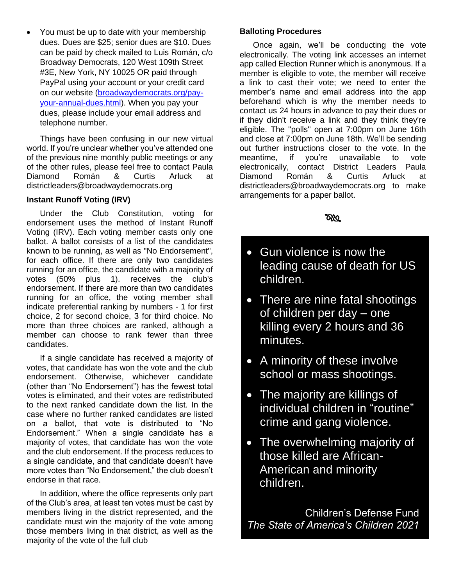• You must be up to date with your membership dues. Dues are \$25; senior dues are \$10. Dues can be paid by check mailed to Luis Román, c/o Broadway Democrats, 120 West 109th Street #3E, New York, NY 10025 OR paid through PayPal using your account or your credit card on our website [\(broadwaydemocrats.org/pay](http://www.broadwaydemocrats.org/pay-your-annual-dues.html)[your-annual-dues.html\)](http://www.broadwaydemocrats.org/pay-your-annual-dues.html). When you pay your dues, please include your email address and telephone number.

Things have been confusing in our new virtual world. If you're unclear whether you've attended one of the previous nine monthly public meetings or any of the other rules, please feel free to contact Paula Diamond Román & Curtis Arluck at [districtleaders@broadwaydemocrats.org](about:blank)

#### **Instant Runoff Voting (IRV)**

Under the Club Constitution, voting for endorsement uses the method of Instant Runoff Voting (IRV). Each voting member casts only one ballot. A ballot consists of a list of the candidates known to be running, as well as "No Endorsement", for each office. If there are only two candidates running for an office, the candidate with a majority of votes (50% plus 1). receives the club's endorsement. If there are more than two candidates running for an office, the voting member shall indicate preferential ranking by numbers - 1 for first choice, 2 for second choice, 3 for third choice. No more than three choices are ranked, although a member can choose to rank fewer than three candidates.

If a single candidate has received a majority of votes, that candidate has won the vote and the club endorsement. Otherwise, whichever candidate (other than "No Endorsement") has the fewest total votes is eliminated, and their votes are redistributed to the next ranked candidate down the list. In the case where no further ranked candidates are listed on a ballot, that vote is distributed to "No Endorsement." When a single candidate has a majority of votes, that candidate has won the vote and the club endorsement. If the process reduces to a single candidate, and that candidate doesn't have more votes than "No Endorsement," the club doesn't endorse in that race.

In addition, where the office represents only part of the Club's area, at least ten votes must be cast by members living in the district represented, and the candidate must win the majority of the vote among those members living in that district, as well as the majority of the vote of the full club

#### **Balloting Procedures**

Once again, we'll be conducting the vote electronically. The voting link accesses an internet app called Election Runner which is anonymous. If a member is eligible to vote, the member will receive a link to cast their vote; we need to enter the member's name and email address into the app beforehand which is why the member needs to contact us 24 hours in advance to pay their dues or if they didn't receive a link and they think they're eligible. The "polls" open at 7:00pm on June 16th and close at 7:00pm on June 18th. We'll be sending out further instructions closer to the vote. In the meantime, if you're unavailable to vote electronically, contact District Leaders Paula Diamond Román & Curtis Arluck at districtleaders@broadwaydemocrats.org to make arrangements for a paper ballot.

#### তথ্য

- Gun violence is now the leading cause of death for US children.
- There are nine fatal shootings of children per day – one killing every 2 hours and 36 minutes.
- A minority of these involve school or mass shootings.
- The majority are killings of individual children in "routine" crime and gang violence.
- The overwhelming majority of those killed are African-American and minority children.

Children's Defense Fund *The State of America's Children 2021*